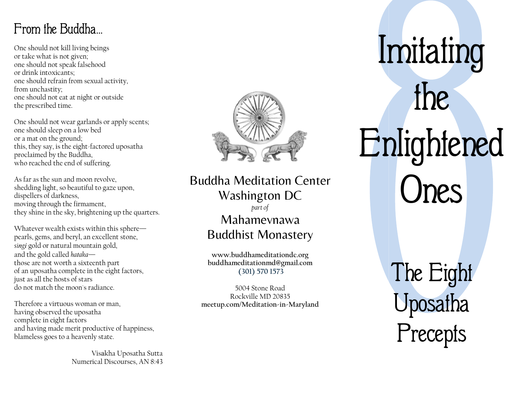## From the Buddha…

One should not kill living beings or take what is not given; one should not speak falsehood or drink intoxicants; one should refrain from sexual activity, from unchastity; one should not eat at night or outside the prescribed time.

One should not wear garlands or apply scents; one should sleep on a low bed or a mat on the ground; this, they say, is the eight-factored uposatha proclaimed by the Buddha, who reached the end of suffering.

As far as the sun and moon revolve, shedding light, so beautiful to gaze upon, dispellers of darkness, moving through the firmament, they shine in the sky, brightening up the quarters.

Whatever wealth exists within this sphere pearls, gems, and beryl, an excellent stone, singi gold or natural mountain gold, and the gold called hataka those are not worth a sixteenth part of an uposatha complete in the eight factors, just as all the hosts of stars do not match the moon's radiance.

Therefore a virtuous woman or man, having observed the uposatha complete in eight factors and having made merit productive of happiness, blameless goes to a heavenly state.

> Visakha Uposatha Sutta Numerical Discourses, AN 8:43



### **Buddha Meditation Center** Washington DC part of Mahamevnawa Buddhist Monastery

www.buddhameditationdc.org buddhameditationmd@gmail.com (301) 570 1573

5004 Stone Road Rockville MD 20835 meetup.com/Meditation-in-Maryland

Imitating Enlightened the Ones

> The Eight Uposatha Precepts